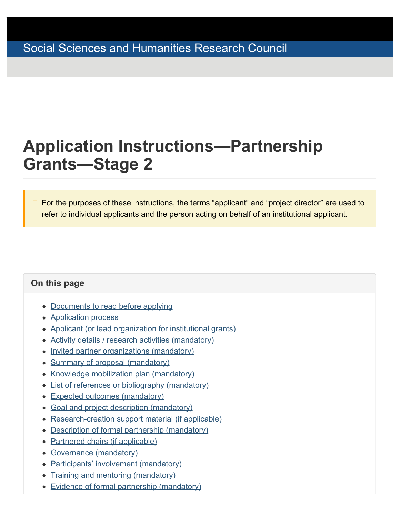# <span id="page-0-1"></span><span id="page-0-0"></span>**Application Instructions—Partnership Grants—Stage 2**

For the purposes of these instructions, the terms "applicant" and "project director" are used to refer to individual applicants and the person acting on behalf of an institutional applicant.

### **On this page**

- [Documents to read before applying](#page-1-0)
- [Application process](#page-2-0)
- [Applicant \(or lead organization for institutional grants\)](#page-5-0)
- [Activity details / research activities \(mandatory\)](#page-6-0)
- [Invited partner organizations \(mandatory\)](#page-13-0)
- [Summary of proposal \(mandatory\)](#page-14-0)
- [Knowledge mobilization plan \(mandatory\)](#page-14-1)
- [List of references or bibliography \(mandatory\)](#page-15-0)
- [Expected outcomes \(mandatory\)](#page-16-0)
- [Goal and project description \(mandatory\)](#page-16-1)
- [Research-creation support material \(if applicable\)](#page-17-0)
- [Description of formal partnership \(mandatory\)](#page-18-0)
- [Partnered chairs \(if applicable\)](#page-19-0)
- [Governance \(mandatory\)](#page-19-1)
- [Participants' involvement \(mandatory\)](#page-20-0)
- [Training and mentoring \(mandatory\)](#page-21-0)
- [Evidence of formal partnership \(mandatory\)](#page-22-0)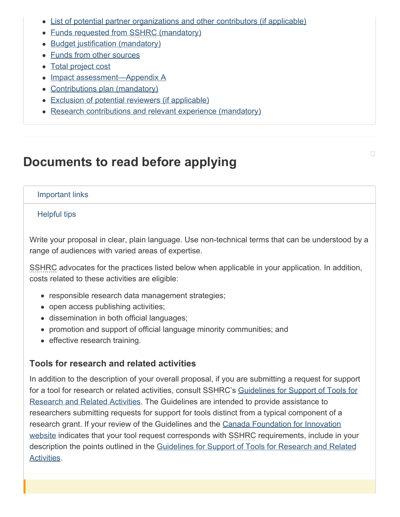- [List of potential partner organizations and other contributors \(if applicable\)](#page-22-1)
- [Funds requested from SSHRC \(mandatory\)](#page-23-0)
- [Budget justification \(mandatory\)](#page-25-0)
- [Funds from other sources](#page-26-0)
- [Total project cost](#page-27-0)
- [Impact assessment—Appendix](#page-27-1) A
- [Contributions plan \(mandatory\)](#page-27-2)
- [Exclusion of potential reviewers \(if applicable\)](#page-28-0)
- [Research contributions and relevant experience \(mandatory\)](#page-29-0)

## <span id="page-1-0"></span>**Documents to read before applying**

#### Important links

#### Helpful tips

Write your proposal in clear, plain language. Use non-technical terms that can be understood by a range of audiences with varied areas of expertise.

SSHRC advocates for the practices listed below when applicable in your application. In addition, costs related to these activities are eligible:

- responsible research data management strategies;
- open access publishing activities;
- dissemination in both official languages;
- promotion and support of official language minority communities; and
- effective research training.

#### **Tools for research and related activities**

In addition to the description of your overall proposal, if you are submitting a request for support for a tool for research or related activities, consult SSHRC's [Guidelines for Support of Tools for](https://www.sshrc-crsh.gc.ca/funding-financement/policies-politiques/support_tools_soutien_outils-eng.aspx) [Research and Related Activities](https://www.sshrc-crsh.gc.ca/funding-financement/policies-politiques/support_tools_soutien_outils-eng.aspx). The Guidelines are intended to provide assistance to researchers submitting requests for support for tools distinct from a typical component of a research grant. If your review of the Guidelines and the [Canada Foundation for Innovation](http://www.innovation.ca/en) [website](http://www.innovation.ca/en) indicates that your tool request corresponds with SSHRC requirements, include in your description the points outlined in the [Guidelines for Support of Tools for Research and Related](https://www.sshrc-crsh.gc.ca/funding-financement/policies-politiques/support_tools_soutien_outils-eng.aspx) [Activities](https://www.sshrc-crsh.gc.ca/funding-financement/policies-politiques/support_tools_soutien_outils-eng.aspx).

п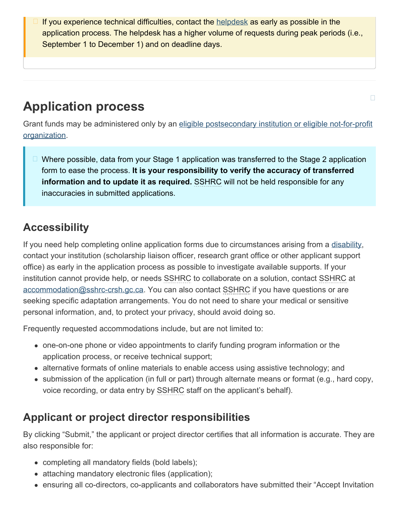If you experience technical difficulties, contact the [helpdesk](mailto:webgrant@sshrc-crsh.gc.ca) as early as possible in the application process. The helpdesk has a higher volume of requests during peak periods (i.e., September 1 to December 1) and on deadline days.

# <span id="page-2-0"></span>**Application process**

Grant funds may be administered only by an [eligible postsecondary institution or eligible not-for-profit](https://www.sshrc-crsh.gc.ca/about-au_sujet/policies-politiques/statements-enonces/list_eligible_institutions-liste_etablissements-admissibles-eng.aspx) [organization.](https://www.sshrc-crsh.gc.ca/about-au_sujet/policies-politiques/statements-enonces/list_eligible_institutions-liste_etablissements-admissibles-eng.aspx)

□ Where possible, data from your Stage 1 application was transferred to the Stage 2 application form to ease the process. **It is your responsibility to verify the accuracy of transferred information and to update it as required.** SSHRC will not be held responsible for any inaccuracies in submitted applications.

## **Accessibility**

If you need help completing online application forms due to circumstances arising from a [disability](https://www.sshrc-crsh.gc.ca/funding-financement/programs-programmes/definitions-eng.aspx#a31), contact your institution (scholarship liaison officer, research grant office or other applicant support office) as early in the application process as possible to investigate available supports. If your institution cannot provide help, or needs SSHRC to collaborate on a solution, contact SSHRC at [accommodation@sshrc-crsh.gc.ca.](mailto:accommodation@sshrc-crsh.gc.ca) You can also contact SSHRC if you have questions or are seeking specific adaptation arrangements. You do not need to share your medical or sensitive personal information, and, to protect your privacy, should avoid doing so.

Frequently requested accommodations include, but are not limited to:

- one-on-one phone or video appointments to clarify funding program information or the application process, or receive technical support;
- alternative formats of online materials to enable access using assistive technology; and
- submission of the application (in full or part) through alternate means or format (e.g., hard copy, voice recording, or data entry by SSHRC staff on the applicant's behalf).

## **Applicant or project director responsibilities**

By clicking "Submit," the applicant or project director certifies that all information is accurate. They are also responsible for:

- completing all mandatory fields (bold labels);
- attaching mandatory electronic files (application);
- ensuring all co-directors, co-applicants and collaborators have submitted their "Accept Invitation

 $\Box$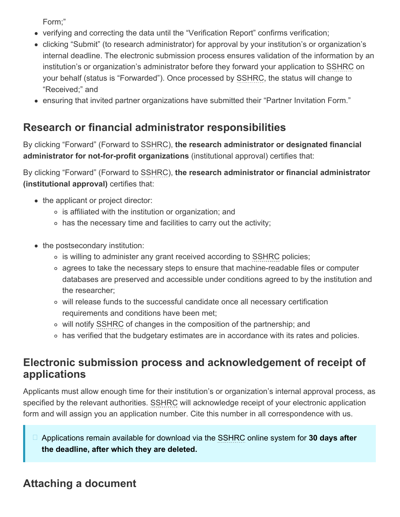Form;"

- verifying and correcting the data until the "Verification Report" confirms verification;
- clicking "Submit" (to research administrator) for approval by your institution's or organization's internal deadline. The electronic submission process ensures validation of the information by an institution's or organization's administrator before they forward your application to SSHRC on your behalf (status is "Forwarded"). Once processed by SSHRC, the status will change to "Received;" and
- ensuring that invited partner organizations have submitted their "Partner Invitation Form."

## **Research or financial administrator responsibilities**

By clicking "Forward" (Forward to SSHRC), **the research administrator or designated financial administrator for not-for-profit organizations** (institutional approval) certifies that:

By clicking "Forward" (Forward to SSHRC), **the research administrator or financial administrator (institutional approval)** certifies that:

- the applicant or project director:
	- is affiliated with the institution or organization; and
	- $\circ$  has the necessary time and facilities to carry out the activity;
- the postsecondary institution:
	- is willing to administer any grant received according to SSHRC policies;
	- agrees to take the necessary steps to ensure that machine-readable files or computer databases are preserved and accessible under conditions agreed to by the institution and the researcher;
	- will release funds to the successful candidate once all necessary certification requirements and conditions have been met;
	- will notify SSHRC of changes in the composition of the partnership; and
	- has verified that the budgetary estimates are in accordance with its rates and policies.

## **Electronic submission process and acknowledgement of receipt of applications**

Applicants must allow enough time for their institution's or organization's internal approval process, as specified by the relevant authorities. SSHRC will acknowledge receipt of your electronic application form and will assign you an application number. Cite this number in all correspondence with us.

Applications remain available for download via the SSHRC online system for **30 days after the deadline, after which they are deleted.**

## <span id="page-3-0"></span>**Attaching a document**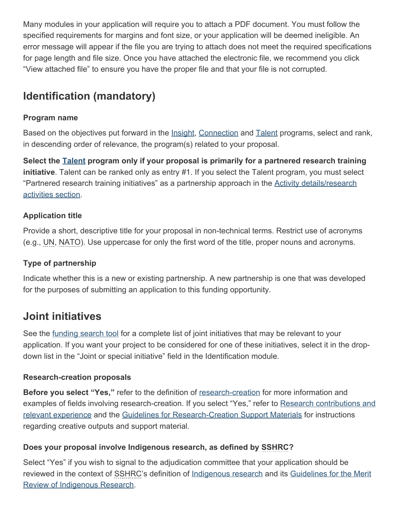Many modules in your application will require you to attach a PDF document. You must follow the specified requirements for margins and font size, or your application will be deemed ineligible. An error message will appear if the file you are trying to attach does not meet the required specifications for page length and file size. Once you have attached the electronic file, we recommend you click "View attached file" to ensure you have the proper file and that your file is not corrupted.

## <span id="page-4-0"></span>**Identification (mandatory)**

### **Program name**

Based on the objectives put forward in the *Insight*, [Connection](https://www.sshrc-crsh.gc.ca/funding-financement/umbrella_programs-programme_cadre/connection-connexion-eng.aspx) and [Talent](https://www.sshrc-crsh.gc.ca/funding-financement/umbrella_programs-programme_cadre/talent-eng.aspx) programs, select and rank, in descending order of relevance, the program(s) related to your proposal.

**Select the [Talent](https://www.sshrc-crsh.gc.ca/funding-financement/umbrella_programs-programme_cadre/talent-eng.aspx) program only if your proposal is primarily for a partnered research training initiative**. Talent can be ranked only as entry #1. If you select the Talent program, you must select "Partnered research training initiatives" as a partnership approach in the [Activity details/research](#page-6-0) [activities section.](#page-6-0)

### **Application title**

Provide a short, descriptive title for your proposal in non-technical terms. Restrict use of acronyms (e.g., UN, NATO). Use uppercase for only the first word of the title, proper nouns and acronyms.

#### **Type of partnership**

Indicate whether this is a new or existing partnership. A new partnership is one that was developed for the purposes of submitting an application to this funding opportunity.

### **Joint initiatives**

See the [funding search tool](https://www.sshrc-crsh.gc.ca/funding-financement/search_tool-outil_de_recherche-eng.aspx?tID=3) for a complete list of joint initiatives that may be relevant to your application. If you want your project to be considered for one of these initiatives, select it in the dropdown list in the "Joint or special initiative" field in the Identification module.

#### **Research-creation proposals**

**Before you select "Yes,"** refer to the definition of [research-creation](https://www.sshrc-crsh.gc.ca/funding-financement/programs-programmes/definitions-eng.aspx#a22) for more information and examples of fields involving research-creation. If you select "Yes," refer to [Research contributions and](#page-29-0) [relevant experience](#page-29-0) and the [Guidelines for Research-Creation Support Materials](https://www.sshrc-crsh.gc.ca/funding-financement/policies-politiques/research_creation-recherche_creation-eng.aspx) for instructions regarding creative outputs and support material.

#### **Does your proposal involve Indigenous research, as defined by SSHRC?**

Select "Yes" if you wish to signal to the adjudication committee that your application should be reviewed in the context of SSHRC's definition of [Indigenous research](https://www.sshrc-crsh.gc.ca/funding-financement/programs-programmes/definitions-eng.aspx#a11) and its [Guidelines for the Merit](https://www.sshrc-crsh.gc.ca/funding-financement/merit_review-evaluation_du_merite/guidelines_research-lignes_directrices_recherche-eng.aspx) [Review of Indigenous Research.](https://www.sshrc-crsh.gc.ca/funding-financement/merit_review-evaluation_du_merite/guidelines_research-lignes_directrices_recherche-eng.aspx)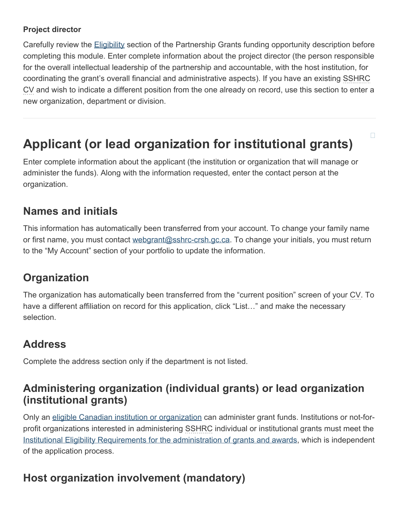### **Project director**

Carefully review the **Eligibility** section of the Partnership Grants funding opportunity description before completing this module. Enter complete information about the project director (the person responsible for the overall intellectual leadership of the partnership and accountable, with the host institution, for coordinating the grant's overall financial and administrative aspects). If you have an existing SSHRC CV and wish to indicate a different position from the one already on record, use this section to enter a new organization, department or division.

# <span id="page-5-0"></span>**Applicant (or lead organization for institutional grants)**

Enter complete information about the applicant (the institution or organization that will manage or administer the funds). Along with the information requested, enter the contact person at the organization.

## **Names and initials**

This information has automatically been transferred from your account. To change your family name or first name, you must contact [webgrant@sshrc-crsh.gc.ca.](mailto:webgrant@sshrc-crsh.gc.ca) To change your initials, you must return to the "My Account" section of your portfolio to update the information.

## **Organization**

The organization has automatically been transferred from the "current position" screen of your CV. To have a different affiliation on record for this application, click "List..." and make the necessary selection.

## **Address**

Complete the address section only if the department is not listed.

## **Administering organization (individual grants) or lead organization (institutional grants)**

Only an [eligible Canadian institution or organization](https://www.sshrc-crsh.gc.ca/about-au_sujet/policies-politiques/statements-enonces/list_eligible_institutions-liste_etablissements-admissibles-eng.aspx) can administer grant funds. Institutions or not-forprofit organizations interested in administering SSHRC individual or institutional grants must meet the [Institutional Eligibility Requirements for the administration of grants and awards](http://science.gc.ca/eic/site/063.nsf/eng/h_3D5FA603.html?OpenDocument), which is independent of the application process.

## **Host organization involvement (mandatory)**

 $\Box$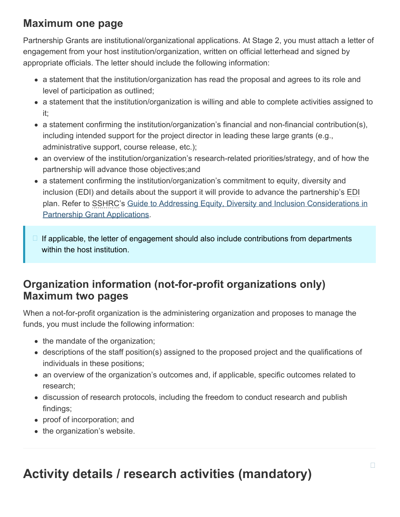## **Maximum one page**

Partnership Grants are institutional/organizational applications. At Stage 2, you must attach a letter of engagement from your host institution/organization, written on official letterhead and signed by appropriate officials. The letter should include the following information:

- a statement that the institution/organization has read the proposal and agrees to its role and level of participation as outlined;
- a statement that the institution/organization is willing and able to complete activities assigned to it;
- a statement confirming the institution/organization's financial and non-financial contribution(s), including intended support for the project director in leading these large grants (e.g., administrative support, course release, etc.);
- an overview of the institution/organization's research-related priorities/strategy, and of how the partnership will advance those objectives;and
- a statement confirming the institution/organization's commitment to equity, diversity and inclusion (EDI) and details about the support it will provide to advance the partnership's EDI plan. Refer to SSHRC's [Guide to Addressing Equity, Diversity and Inclusion Considerations in](https://www.sshrc-crsh.gc.ca/funding-financement/apply-demande/guides/partnership_edi_guide-partenariats_guide_edi-eng.aspx) [Partnership Grant Applications.](https://www.sshrc-crsh.gc.ca/funding-financement/apply-demande/guides/partnership_edi_guide-partenariats_guide_edi-eng.aspx)
- If applicable, the letter of engagement should also include contributions from departments within the host institution.

## **Organization information (not-for-profit organizations only) Maximum two pages**

When a not-for-profit organization is the administering organization and proposes to manage the funds, you must include the following information:

- the mandate of the organization;
- descriptions of the staff position(s) assigned to the proposed project and the qualifications of individuals in these positions;
- an overview of the organization's outcomes and, if applicable, specific outcomes related to research;
- discussion of research protocols, including the freedom to conduct research and publish findings;
- proof of incorporation; and
- <span id="page-6-0"></span>• the organization's website.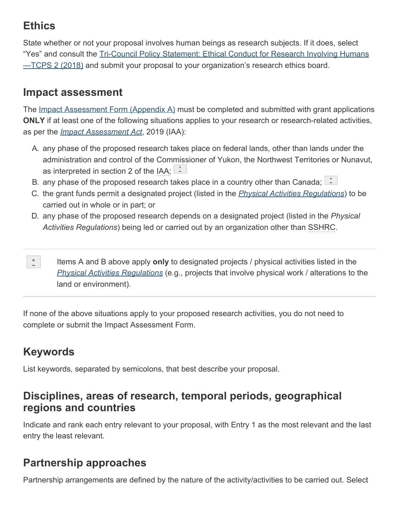## **Ethics**

State whether or not your proposal involves human beings as research subjects. If it does, select "Yes" and consult the [Tri-Council Policy Statement: Ethical Conduct for Research Involving Humans](https://ethics.gc.ca/eng/policy-politique_tcps2-eptc2_2018.html) —TCPS [2 \(2018\)](https://ethics.gc.ca/eng/policy-politique_tcps2-eptc2_2018.html) and submit your proposal to your organization's research ethics board.

## **Impact assessment**

The [Impact Assessment Form \(Appendix](https://www.sshrc-crsh.gc.ca/funding-financement/forms-formulaires/pdf/EI_Appendix_A-IA_Annexe_A-eng.pdf) A) must be completed and submitted with grant applications **ONLY** if at least one of the following situations applies to your research or research-related activities, as per the *[Impact Assessment Act](https://laws-lois.justice.gc.ca/eng/acts/I-2.75/)*, 2019 (IAA):

- A. any phase of the proposed research takes place on federal lands, other than lands under the administration and control of the Commissioner of Yukon, the Northwest Territories or Nunavut, as interpreted in section 2 of the IAA;  $\mathbb{L}^*$  $\mathbb{L}^*$
- B. any phase of the proposed research takes place in a country other than Canada;  $\Box$
- C. the grant funds permit a designated project (listed in the *[Physical Activities Regulations](https://laws.justice.gc.ca/eng/regulations/SOR-2019-285/index.html)*) to be carried out in whole or in part; or
- D. any phase of the proposed research depends on a designated project (listed in the *Physical Activities Regulations*) being led or carried out by an organization other than SSHRC.
- <span id="page-7-0"></span>Items A and B above apply **only** to designated projects / physical activities listed in the *[Physical Activities Regulations](https://laws.justice.gc.ca/eng/regulations/SOR-2019-285/index.html)* (e.g., projects that involve physical work / alterations to the land or environment). [\\*](#page-0-1)

If none of the above situations apply to your proposed research activities, you do not need to complete or submit the Impact Assessment Form.

# **Keywords**

List keywords, separated by semicolons, that best describe your proposal.

### **Disciplines, areas of research, temporal periods, geographical regions and countries**

Indicate and rank each entry relevant to your proposal, with Entry 1 as the most relevant and the last entry the least relevant.

## **Partnership approaches**

Partnership arrangements are defined by the nature of the activity/activities to be carried out. Select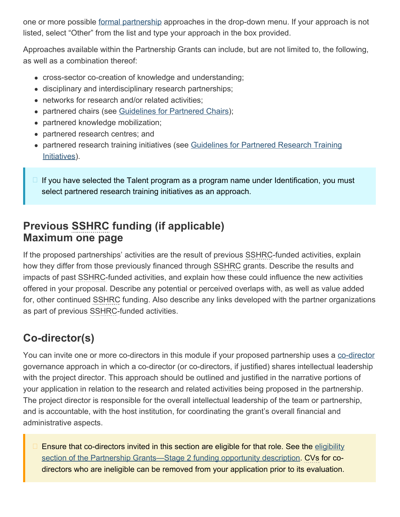one or more possible [formal partnership](https://www.sshrc-crsh.gc.ca/funding-financement/programs-programmes/definitions-eng.aspx#a10) approaches in the drop-down menu. If your approach is not listed, select "Other" from the list and type your approach in the box provided.

Approaches available within the Partnership Grants can include, but are not limited to, the following, as well as a combination thereof:

- cross-sector co-creation of knowledge and understanding;
- disciplinary and interdisciplinary research partnerships;
- networks for research and/or related activities;
- partnered chairs (see [Guidelines for Partnered Chairs](https://www.sshrc-crsh.gc.ca/funding-financement/policies-politiques/partnered_chairs-chaires_partenariat-eng.aspx));
- partnered knowledge mobilization;
- partnered research centres; and
- partnered research training initiatives (see [Guidelines for Partnered Research Training](https://www.sshrc-crsh.gc.ca/funding-financement/policies-politiques/partnered_research_training-partenariat_de_formation_de_recherche-eng.aspx) [Initiatives\)](https://www.sshrc-crsh.gc.ca/funding-financement/policies-politiques/partnered_research_training-partenariat_de_formation_de_recherche-eng.aspx).
- If you have selected the Talent program as a program name under Identification, you must select partnered research training initiatives as an approach.

## **Previous SSHRC funding (if applicable) Maximum one page**

If the proposed partnerships' activities are the result of previous SSHRC-funded activities, explain how they differ from those previously financed through SSHRC grants. Describe the results and impacts of past SSHRC-funded activities, and explain how these could influence the new activities offered in your proposal. Describe any potential or perceived overlaps with, as well as value added for, other continued SSHRC funding. Also describe any links developed with the partner organizations as part of previous SSHRC-funded activities.

## **Co-director(s)**

You can invite one or more [co-director](https://www.sshrc-crsh.gc.ca/funding-financement/programs-programmes/definitions-eng.aspx#a30)s in this module if your proposed partnership uses a co-director governance approach in which a co-director (or co-directors, if justified) shares intellectual leadership with the project director. This approach should be outlined and justified in the narrative portions of your application in relation to the research and related activities being proposed in the partnership. The project director is responsible for the overall intellectual leadership of the team or partnership, and is accountable, with the host institution, for coordinating the grant's overall financial and administrative aspects.

Ensure that co-directors invited in this section are eligible for that role. See the [eligibility](https://www.sshrc-crsh.gc.ca/funding-financement/programs-programmes/partnership_grants_stage2-subventions_partenariat_etape2-eng.aspx#4) [section of the Partnership Grants—Stage](https://www.sshrc-crsh.gc.ca/funding-financement/programs-programmes/partnership_grants_stage2-subventions_partenariat_etape2-eng.aspx#4) 2 funding opportunity description. CVs for codirectors who are ineligible can be removed from your application prior to its evaluation.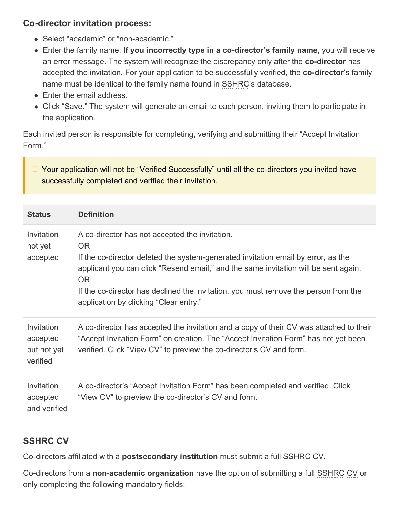### **Co-director invitation process:**

- Select "academic" or "non-academic."
- Enter the family name. **If you incorrectly type in a co-director's family name**, you will receive an error message. The system will recognize the discrepancy only after the **co-director** has accepted the invitation. For your application to be successfully verified, the **co-director**'s family name must be identical to the family name found in SSHRC's database.
- Enter the email address.
- Click "Save." The system will generate an email to each person, inviting them to participate in the application.

Each invited person is responsible for completing, verifying and submitting their "Accept Invitation Form."

Your application will not be "Verified Successfully" until all the co-directors you invited have successfully completed and verified their invitation.

| <b>Status</b>                                     | <b>Definition</b>                                                                                                                                                                                                                                                                                                                                                               |
|---------------------------------------------------|---------------------------------------------------------------------------------------------------------------------------------------------------------------------------------------------------------------------------------------------------------------------------------------------------------------------------------------------------------------------------------|
| Invitation<br>not yet<br>accepted                 | A co-director has not accepted the invitation.<br>OR.<br>If the co-director deleted the system-generated invitation email by error, as the<br>applicant you can click "Resend email," and the same invitation will be sent again.<br><b>OR</b><br>If the co-director has declined the invitation, you must remove the person from the<br>application by clicking "Clear entry." |
| Invitation<br>accepted<br>but not yet<br>verified | A co-director has accepted the invitation and a copy of their CV was attached to their<br>"Accept Invitation Form" on creation. The "Accept Invitation Form" has not yet been<br>verified. Click "View CV" to preview the co-director's CV and form.                                                                                                                            |
| Invitation<br>accepted<br>and verified            | A co-director's "Accept Invitation Form" has been completed and verified. Click<br>"View CV" to preview the co-director's CV and form.                                                                                                                                                                                                                                          |

### **SSHRC CV**

Co-directors affiliated with a **postsecondary institution** must submit a full SSHRC CV.

Co-directors from a **non-academic organization** have the option of submitting a full SSHRC CV or only completing the following mandatory fields: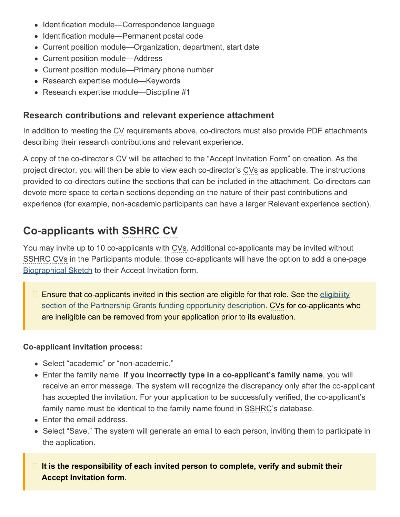- Identification module—Correspondence language
- Identification module—Permanent postal code
- Current position module—Organization, department, start date
- Current position module—Address
- Current position module—Primary phone number
- Research expertise module—Keywords
- Research expertise module—Discipline #1

### **Research contributions and relevant experience attachment**

In addition to meeting the CV requirements above, co-directors must also provide PDF attachments describing their research contributions and relevant experience.

A copy of the co-director's CV will be attached to the "Accept Invitation Form" on creation. As the project director, you will then be able to view each co-director's CVs as applicable. The instructions provided to co-directors outline the sections that can be included in the attachment. Co-directors can devote more space to certain sections depending on the nature of their past contributions and experience (for example, non-academic participants can have a larger Relevant experience section).

## <span id="page-10-0"></span>**Co-applicants with SSHRC CV**

You may invite up to 10 co-applicants with CVs. Additional co-applicants may be invited without SSHRC CVs in the Participants module; those co-applicants will have the option to add a one-page [Biographical Sketch](#page-12-0) to their Accept Invitation form.

Ensure that co-applicants invited in this section are eligible for that role. See the [eligibility](https://www.sshrc-crsh.gc.ca/funding-financement/programs-programmes/partnership_grants_stage2-subventions_partenariat_etape2-eng.aspx#4) [section of the Partnership Grants funding opportunity description](https://www.sshrc-crsh.gc.ca/funding-financement/programs-programmes/partnership_grants_stage2-subventions_partenariat_etape2-eng.aspx#4). CVs for co-applicants who are ineligible can be removed from your application prior to its evaluation.

#### **Co-applicant invitation process:**

- Select "academic" or "non-academic."
- Enter the family name. **If you incorrectly type in a co-applicant's family name**, you will receive an error message. The system will recognize the discrepancy only after the co-applicant has accepted the invitation. For your application to be successfully verified, the co-applicant's family name must be identical to the family name found in SSHRC's database.
- Enter the email address.
- Select "Save." The system will generate an email to each person, inviting them to participate in the application.
- **It is the responsibility of each invited person to complete, verify and submit their Accept Invitation form**.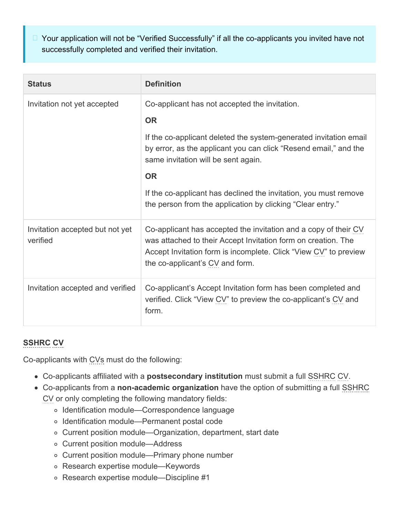□ Your application will not be "Verified Successfully" if all the co-applicants you invited have not successfully completed and verified their invitation.

| <b>Status</b>                               | <b>Definition</b>                                                                                                                                                                                                                                                                                                                                                                         |
|---------------------------------------------|-------------------------------------------------------------------------------------------------------------------------------------------------------------------------------------------------------------------------------------------------------------------------------------------------------------------------------------------------------------------------------------------|
| Invitation not yet accepted                 | Co-applicant has not accepted the invitation.<br><b>OR</b><br>If the co-applicant deleted the system-generated invitation email<br>by error, as the applicant you can click "Resend email," and the<br>same invitation will be sent again.<br><b>OR</b><br>If the co-applicant has declined the invitation, you must remove<br>the person from the application by clicking "Clear entry." |
| Invitation accepted but not yet<br>verified | Co-applicant has accepted the invitation and a copy of their CV<br>was attached to their Accept Invitation form on creation. The<br>Accept Invitation form is incomplete. Click "View CV" to preview<br>the co-applicant's CV and form.                                                                                                                                                   |
| Invitation accepted and verified            | Co-applicant's Accept Invitation form has been completed and<br>verified. Click "View CV" to preview the co-applicant's CV and<br>form.                                                                                                                                                                                                                                                   |

### **SSHRC CV**

Co-applicants with CVs must do the following:

- Co-applicants affiliated with a **postsecondary institution** must submit a full SSHRC CV.
- Co-applicants from a **non-academic organization** have the option of submitting a full SSHRC CV or only completing the following mandatory fields:
	- o Identification module—Correspondence language
	- o Identification module—Permanent postal code
	- Current position module—Organization, department, start date
	- Current position module—Address
	- Current position module—Primary phone number
	- Research expertise module—Keywords
	- Research expertise module—Discipline #1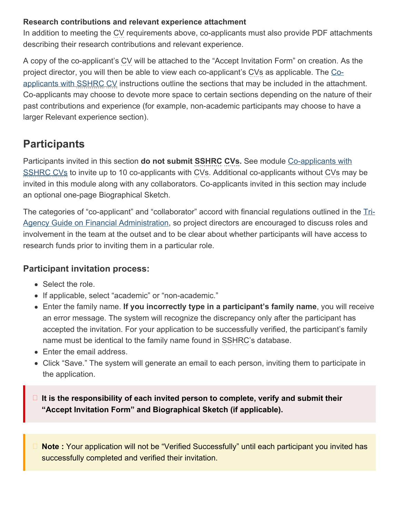#### **Research contributions and relevant experience attachment**

In addition to meeting the CV requirements above, co-applicants must also provide PDF attachments describing their research contributions and relevant experience.

A copy of the co-applicant's CV will be attached to the "Accept Invitation Form" on creation. As the project director, you will then be able to view each co-applicant's CVs as applicable. The [Co](#page-10-0)[applicants with SSHRC](#page-10-0) [CV](#page-10-0) instructions outline the sections that may be included in the attachment. Co-applicants may choose to devote more space to certain sections depending on the nature of their past contributions and experience (for example, non-academic participants may choose to have a larger Relevant experience section).

## <span id="page-12-0"></span>**Participants**

Participants invited in this section **do not submit SSHRC CVs.** See module [Co-applicants with](#page-10-0) [SSHRC](#page-10-0) [CVs](#page-10-0) to invite up to 10 co-applicants with CVs. Additional co-applicants without CVs may be invited in this module along with any collaborators. Co-applicants invited in this section may include an optional one-page Biographical Sketch.

The categories of "co-applicant" and "collaborator" accord with financial regulations outlined in the [Tri-](https://www.nserc-crsng.gc.ca/InterAgency-Interorganismes/TAFA-AFTO/guide-guide_eng.asp)[Agency Guide on Financial Administration,](https://www.nserc-crsng.gc.ca/InterAgency-Interorganismes/TAFA-AFTO/guide-guide_eng.asp) so project directors are encouraged to discuss roles and involvement in the team at the outset and to be clear about whether participants will have access to research funds prior to inviting them in a particular role.

### **Participant invitation process:**

- Select the role.
- If applicable, select "academic" or "non-academic."
- Enter the family name. **If you incorrectly type in a participant's family name**, you will receive an error message. The system will recognize the discrepancy only after the participant has accepted the invitation. For your application to be successfully verified, the participant's family name must be identical to the family name found in SSHRC's database.
- Enter the email address.
- Click "Save." The system will generate an email to each person, inviting them to participate in the application.

**It is the responsibility of each invited person to complete, verify and submit their "Accept Invitation Form" and Biographical Sketch (if applicable).**

**Note :** Your application will not be "Verified Successfully" until each participant you invited has successfully completed and verified their invitation.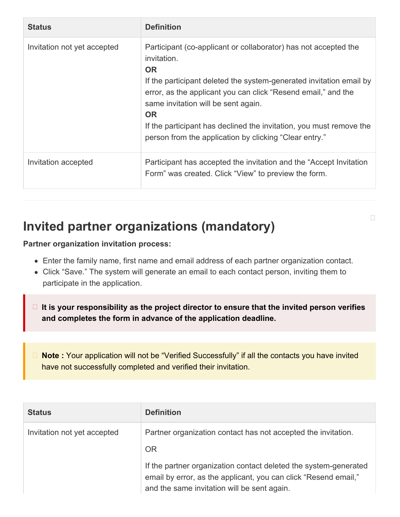| <b>Status</b>               | <b>Definition</b>                                                                                                                                                                                                                                                                                                                                                                                                        |
|-----------------------------|--------------------------------------------------------------------------------------------------------------------------------------------------------------------------------------------------------------------------------------------------------------------------------------------------------------------------------------------------------------------------------------------------------------------------|
| Invitation not yet accepted | Participant (co-applicant or collaborator) has not accepted the<br>invitation.<br><b>OR</b><br>If the participant deleted the system-generated invitation email by<br>error, as the applicant you can click "Resend email," and the<br>same invitation will be sent again.<br><b>OR</b><br>If the participant has declined the invitation, you must remove the<br>person from the application by clicking "Clear entry." |
| Invitation accepted         | Participant has accepted the invitation and the "Accept Invitation"<br>Form" was created. Click "View" to preview the form.                                                                                                                                                                                                                                                                                              |

# <span id="page-13-0"></span>**Invited partner organizations (mandatory)**

**Partner organization invitation process:**

- Enter the family name, first name and email address of each partner organization contact.
- Click "Save." The system will generate an email to each contact person, inviting them to participate in the application.
- **It is your responsibility as the project director to ensure that the invited person verifies and completes the form in advance of the application deadline.**

**Note :** Your application will not be "Verified Successfully" if all the contacts you have invited have not successfully completed and verified their invitation.

| <b>Status</b>               | <b>Definition</b>                                                                                                                                                                  |
|-----------------------------|------------------------------------------------------------------------------------------------------------------------------------------------------------------------------------|
| Invitation not yet accepted | Partner organization contact has not accepted the invitation.<br><b>OR</b>                                                                                                         |
|                             | If the partner organization contact deleted the system-generated<br>email by error, as the applicant, you can click "Resend email,"<br>and the same invitation will be sent again. |

 $\Box$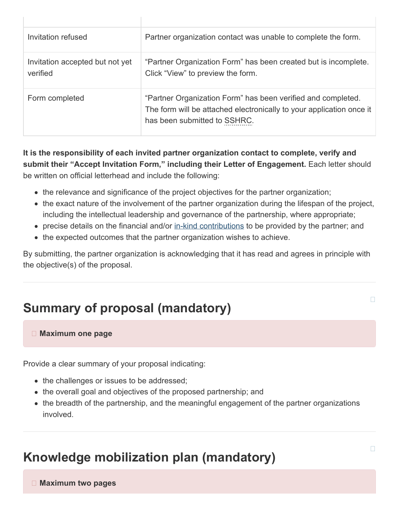| Invitation refused                          | Partner organization contact was unable to complete the form.                                                                                                        |
|---------------------------------------------|----------------------------------------------------------------------------------------------------------------------------------------------------------------------|
| Invitation accepted but not yet<br>verified | "Partner Organization Form" has been created but is incomplete.<br>Click "View" to preview the form.                                                                 |
| Form completed                              | "Partner Organization Form" has been verified and completed.<br>The form will be attached electronically to your application once it<br>has been submitted to SSHRC. |

**It is the responsibility of each invited partner organization contact to complete, verify and submit their "Accept Invitation Form," including their Letter of Engagement.** Each letter should be written on official letterhead and include the following:

- the relevance and significance of the project objectives for the partner organization;
- the exact nature of the involvement of the partner organization during the lifespan of the project, including the intellectual leadership and governance of the partnership, where appropriate;
- precise details on the financial and/or [in-kind contributions](https://www.sshrc-crsh.gc.ca/funding-financement/programs-programmes/definitions-eng.aspx#a15) to be provided by the partner; and
- the expected outcomes that the partner organization wishes to achieve.

By submitting, the partner organization is acknowledging that it has read and agrees in principle with the objective(s) of the proposal.

# <span id="page-14-0"></span>**Summary of proposal (mandatory)**

#### **Maximum one page**

Provide a clear summary of your proposal indicating:

- the challenges or issues to be addressed;
- the overall goal and objectives of the proposed partnership; and
- the breadth of the partnership, and the meaningful engagement of the partner organizations involved.

# <span id="page-14-1"></span>**Knowledge mobilization plan (mandatory)**

 **Maximum two pages**

 $\Box$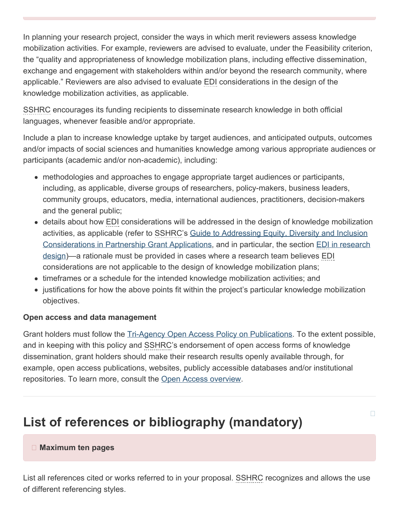In planning your research project, consider the ways in which merit reviewers assess knowledge mobilization activities. For example, reviewers are advised to evaluate, under the Feasibility criterion, the "quality and appropriateness of knowledge mobilization plans, including effective dissemination, exchange and engagement with stakeholders within and/or beyond the research community, where applicable." Reviewers are also advised to evaluate EDI considerations in the design of the knowledge mobilization activities, as applicable.

SSHRC encourages its funding recipients to disseminate research knowledge in both official languages, whenever feasible and/or appropriate.

Include a plan to increase knowledge uptake by target audiences, and anticipated outputs, outcomes and/or impacts of social sciences and humanities knowledge among various appropriate audiences or participants (academic and/or non-academic), including:

- methodologies and approaches to engage appropriate target audiences or participants, including, as applicable, diverse groups of researchers, policy-makers, business leaders, community groups, educators, media, international audiences, practitioners, decision-makers and the general public;
- details about how EDI considerations will be addressed in the design of knowledge mobilization activities, as applicable (refer to SSHRC's [Guide to Addressing Equity, Diversity and Inclusion](https://www.sshrc-crsh.gc.ca/funding-financement/apply-demande/guides/partnership_edi_guide-partenariats_guide_edi-eng.aspx) [Considerations in Partnership Grant Applications,](https://www.sshrc-crsh.gc.ca/funding-financement/apply-demande/guides/partnership_edi_guide-partenariats_guide_edi-eng.aspx) and in particular, the section [EDI in research](https://www.sshrc-crsh.gc.ca/funding-financement/apply-demande/guides/partnership_edi_guide-partenariats_guide_edi-eng.aspx#5) [design\)](https://www.sshrc-crsh.gc.ca/funding-financement/apply-demande/guides/partnership_edi_guide-partenariats_guide_edi-eng.aspx#5)—a rationale must be provided in cases where a research team believes EDI considerations are not applicable to the design of knowledge mobilization plans;
- timeframes or a schedule for the intended knowledge mobilization activities; and
- justifications for how the above points fit within the project's particular knowledge mobilization objectives.

#### **Open access and data management**

Grant holders must follow the [Tri-Agency Open Access Policy on Publications.](http://www.science.gc.ca/eic/site/063.nsf/eng/h_F6765465.html?OpenDocument) To the extent possible, and in keeping with this policy and SSHRC's endorsement of open access forms of knowledge dissemination, grant holders should make their research results openly available through, for example, open access publications, websites, publicly accessible databases and/or institutional repositories. To learn more, consult the [Open Access overview](http://www.science.gc.ca/eic/site/063.nsf/eng/h_75F21A63.html?OpenDocument).

# <span id="page-15-0"></span>**List of references or bibliography (mandatory)**

 $\Box$ 

#### **Maximum ten pages**

List all references cited or works referred to in your proposal. SSHRC recognizes and allows the use of different referencing styles.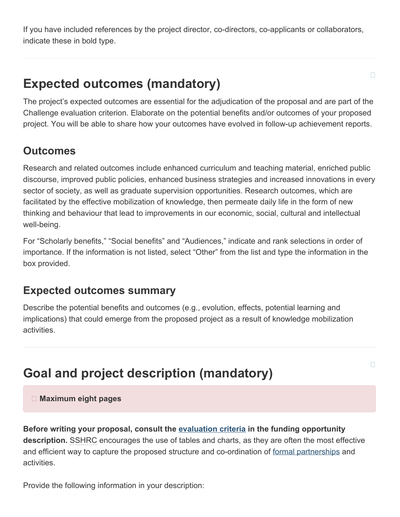If you have included references by the project director, co-directors, co-applicants or collaborators, indicate these in bold type.

# <span id="page-16-0"></span>**Expected outcomes (mandatory)**

The project's expected outcomes are essential for the adjudication of the proposal and are part of the Challenge evaluation criterion. Elaborate on the potential benefits and/or outcomes of your proposed project. You will be able to share how your outcomes have evolved in follow-up achievement reports.

## **Outcomes**

Research and related outcomes include enhanced curriculum and teaching material, enriched public discourse, improved public policies, enhanced business strategies and increased innovations in every sector of society, as well as graduate supervision opportunities. Research outcomes, which are facilitated by the effective mobilization of knowledge, then permeate daily life in the form of new thinking and behaviour that lead to improvements in our economic, social, cultural and intellectual well-being.

For "Scholarly benefits," "Social benefits" and "Audiences," indicate and rank selections in order of importance. If the information is not listed, select "Other" from the list and type the information in the box provided.

### **Expected outcomes summary**

Describe the potential benefits and outcomes (e.g., evolution, effects, potential learning and implications) that could emerge from the proposed project as a result of knowledge mobilization activities.

# <span id="page-16-1"></span>**Goal and project description (mandatory)**

 $\Box$ 

 $\Box$ 

### **Maximum eight pages**

**Before writing your proposal, consult the [evaluation criteria](https://www.sshrc-crsh.gc.ca/funding-financement/programs-programmes/partnership_grants_stage2-subventions_partenariat_etape2-eng.aspx#6) in the funding opportunity description.** SSHRC encourages the use of tables and charts, as they are often the most effective and efficient way to capture the proposed structure and co-ordination of [formal partnerships](https://www.sshrc-crsh.gc.ca/funding-financement/programs-programmes/definitions-eng.aspx#a10) and activities.

Provide the following information in your description: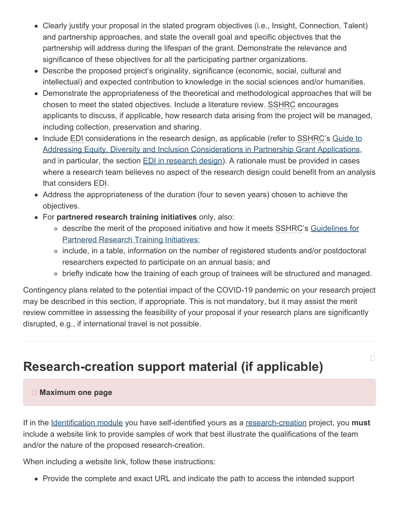- Clearly justify your proposal in the stated program objectives (i.e., Insight, Connection, Talent) and partnership approaches, and state the overall goal and specific objectives that the partnership will address during the lifespan of the grant. Demonstrate the relevance and significance of these objectives for all the participating partner organizations.
- Describe the proposed project's originality, significance (economic, social, cultural and intellectual) and expected contribution to knowledge in the social sciences and/or humanities.
- Demonstrate the appropriateness of the theoretical and methodological approaches that will be chosen to meet the stated objectives. Include a literature review. SSHRC encourages applicants to discuss, if applicable, how research data arising from the project will be managed, including collection, preservation and sharing.
- Include EDI considerations in the research design, as applicable (refer to SSHRC's [Guide to](https://www.sshrc-crsh.gc.ca/funding-financement/apply-demande/guides/partnership_edi_guide-partenariats_guide_edi-eng.aspx) [Addressing Equity, Diversity and Inclusion Considerations in Partnership Grant Applications](https://www.sshrc-crsh.gc.ca/funding-financement/apply-demande/guides/partnership_edi_guide-partenariats_guide_edi-eng.aspx), and in particular, the section **EDI** in research design). A rationale must be provided in cases where a research team believes no aspect of the research design could benefit from an analysis that considers EDI.
- Address the appropriateness of the duration (four to seven years) chosen to achieve the objectives.
- For **partnered research training initiatives** only, also:
	- o describe the merit of the proposed initiative and how it meets SSHRC's [Guidelines for](https://www.sshrc-crsh.gc.ca/funding-financement/policies-politiques/partnered_research_training-partenariat_de_formation_de_recherche-eng.aspx) [Partnered Research Training Initiatives;](https://www.sshrc-crsh.gc.ca/funding-financement/policies-politiques/partnered_research_training-partenariat_de_formation_de_recherche-eng.aspx)
	- include, in a table, information on the number of registered students and/or postdoctoral researchers expected to participate on an annual basis; and
	- o briefly indicate how the training of each group of trainees will be structured and managed.

 $\Box$ 

Contingency plans related to the potential impact of the COVID-19 pandemic on your research project may be described in this section, if appropriate. This is not mandatory, but it may assist the merit review committee in assessing the feasibility of your proposal if your research plans are significantly disrupted, e.g., if international travel is not possible.

# <span id="page-17-0"></span>**Research-creation support material (if applicable)**

#### **Maximum one page**

If in the [Identification module](#page-4-0) you have self-identified yours as a [research-creation](https://www.sshrc-crsh.gc.ca/funding-financement/programs-programmes/definitions-eng.aspx#a22) project, you **must** include a website link to provide samples of work that best illustrate the qualifications of the team and/or the nature of the proposed research-creation.

When including a website link, follow these instructions:

• Provide the complete and exact URL and indicate the path to access the intended support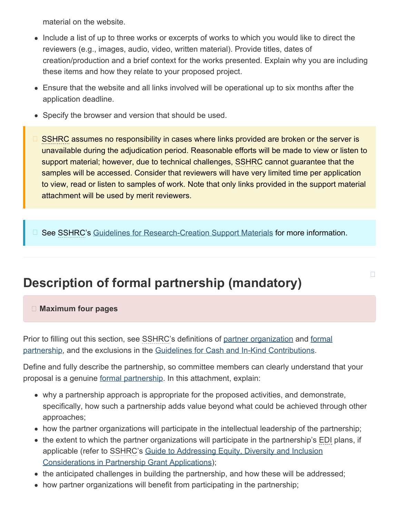material on the website.

- Include a list of up to three works or excerpts of works to which you would like to direct the reviewers (e.g., images, audio, video, written material). Provide titles, dates of creation/production and a brief context for the works presented. Explain why you are including these items and how they relate to your proposed project.
- Ensure that the website and all links involved will be operational up to six months after the application deadline.
- Specify the browser and version that should be used.
- SSHRC assumes no responsibility in cases where links provided are broken or the server is unavailable during the adjudication period. Reasonable efforts will be made to view or listen to support material; however, due to technical challenges, SSHRC cannot guarantee that the samples will be accessed. Consider that reviewers will have very limited time per application to view, read or listen to samples of work. Note that only links provided in the support material attachment will be used by merit reviewers.

See SSHRC's [Guidelines for Research-Creation Support Materials](https://www.sshrc-crsh.gc.ca/funding-financement/policies-politiques/research_creation-recherche_creation-eng.aspx) for more information.  $\Box$ 

# <span id="page-18-0"></span>**Description of formal partnership (mandatory)**

#### $\Box$

### **Maximum four pages**

Prior to filling out this section, see SSHRC's definitions of [partner organization](https://www.sshrc-crsh.gc.ca/funding-financement/programs-programmes/definitions-eng.aspx#a13) and [formal](https://www.sshrc-crsh.gc.ca/funding-financement/programs-programmes/definitions-eng.aspx#a10) [partnership,](https://www.sshrc-crsh.gc.ca/funding-financement/programs-programmes/definitions-eng.aspx#a10) and the exclusions in the [Guidelines for Cash and In-Kind Contributions](https://www.sshrc-crsh.gc.ca/funding-financement/policies-politiques/cash_inkind-especes_en_nature-eng.aspx).

Define and fully describe the partnership, so committee members can clearly understand that your proposal is a genuine [formal partnership](https://www.sshrc-crsh.gc.ca/funding-financement/programs-programmes/definitions-eng.aspx#a10). In this attachment, explain:

- why a partnership approach is appropriate for the proposed activities, and demonstrate, specifically, how such a partnership adds value beyond what could be achieved through other approaches;
- how the partner organizations will participate in the intellectual leadership of the partnership;
- the extent to which the partner organizations will participate in the partnership's EDI plans, if applicable (refer to SSHRC's [Guide to Addressing Equity, Diversity and Inclusion](https://www.sshrc-crsh.gc.ca/funding-financement/apply-demande/guides/partnership_edi_guide-partenariats_guide_edi-eng.aspx) [Considerations in Partnership Grant Applications\)](https://www.sshrc-crsh.gc.ca/funding-financement/apply-demande/guides/partnership_edi_guide-partenariats_guide_edi-eng.aspx);
- the anticipated challenges in building the partnership, and how these will be addressed;
- how partner organizations will benefit from participating in the partnership;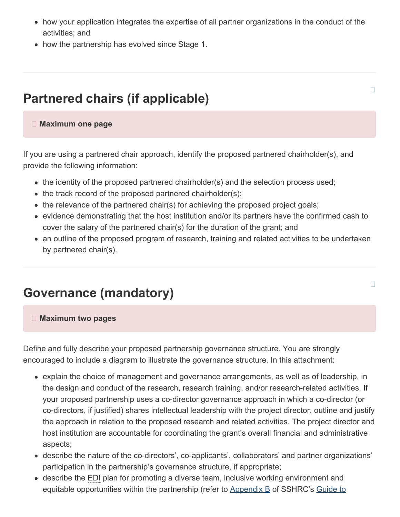- how your application integrates the expertise of all partner organizations in the conduct of the activities; and
- how the partnership has evolved since Stage 1.

## <span id="page-19-0"></span>**Partnered chairs (if applicable)**

#### **Maximum one page**

If you are using a partnered chair approach, identify the proposed partnered chairholder(s), and provide the following information:

- the identity of the proposed partnered chairholder(s) and the selection process used;
- $\bullet$  the track record of the proposed partnered chairholder(s);
- $\bullet$  the relevance of the partnered chair(s) for achieving the proposed project goals;
- evidence demonstrating that the host institution and/or its partners have the confirmed cash to cover the salary of the partnered chair(s) for the duration of the grant; and
- an outline of the proposed program of research, training and related activities to be undertaken by partnered chair(s).

## <span id="page-19-1"></span>**Governance (mandatory)**

#### **Maximum two pages**

Define and fully describe your proposed partnership governance structure. You are strongly encouraged to include a diagram to illustrate the governance structure. In this attachment:

- explain the choice of management and governance arrangements, as well as of leadership, in the design and conduct of the research, research training, and/or research-related activities. If your proposed partnership uses a co-director governance approach in which a co-director (or co-directors, if justified) shares intellectual leadership with the project director, outline and justify the approach in relation to the proposed research and related activities. The project director and host institution are accountable for coordinating the grant's overall financial and administrative aspects;
- describe the nature of the co-directors', co-applicants', collaborators' and partner organizations' participation in the partnership's governance structure, if appropriate;
- describe the EDI plan for promoting a diverse team, inclusive working environment and equitable opportunities within the partnership (refer to [Appendix](https://www.sshrc-crsh.gc.ca/funding-financement/apply-demande/guides/partnership_edi_guide-partenariats_guide_edi-eng.aspx#appendix-b) B of SSHRC's [Guide to](https://www.sshrc-crsh.gc.ca/funding-financement/apply-demande/guides/partnership_edi_guide-partenariats_guide_edi-eng.aspx)

 $\Box$ 

### $\Box$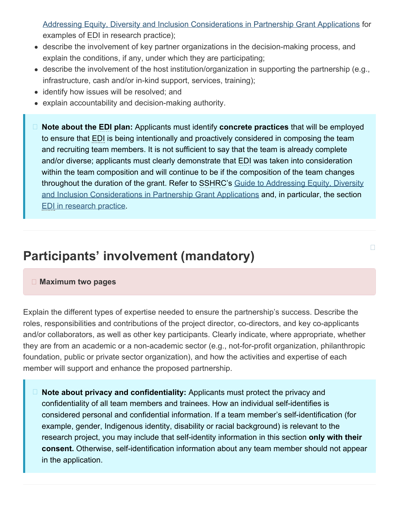[Addressing Equity, Diversity and Inclusion Considerations in Partnership Grant Applications](https://www.sshrc-crsh.gc.ca/funding-financement/apply-demande/guides/partnership_edi_guide-partenariats_guide_edi-eng.aspx) for examples of EDI in research practice);

- describe the involvement of key partner organizations in the decision-making process, and explain the conditions, if any, under which they are participating;
- describe the involvement of the host institution/organization in supporting the partnership (e.g., infrastructure, cash and/or in-kind support, services, training);
- identify how issues will be resolved; and
- explain accountability and decision-making authority.
- **Note about the EDI plan:** Applicants must identify **concrete practices** that will be employed to ensure that EDI is being intentionally and proactively considered in composing the team and recruiting team members. It is not sufficient to say that the team is already complete and/or diverse; applicants must clearly demonstrate that EDI was taken into consideration within the team composition and will continue to be if the composition of the team changes throughout the duration of the grant. Refer to SSHRC's [Guide to Addressing Equity, Diversity](https://www.sshrc-crsh.gc.ca/funding-financement/apply-demande/guides/partnership_edi_guide-partenariats_guide_edi-eng.aspx) [and Inclusion Considerations in Partnership Grant Applications](https://www.sshrc-crsh.gc.ca/funding-financement/apply-demande/guides/partnership_edi_guide-partenariats_guide_edi-eng.aspx) and, in particular, the section [EDI in research practice](https://www.sshrc-crsh.gc.ca/funding-financement/apply-demande/guides/partnership_edi_guide-partenariats_guide_edi-eng.aspx#4).

# <span id="page-20-0"></span>**Participants' involvement (mandatory)**

#### **Maximum two pages**

Explain the different types of expertise needed to ensure the partnership's success. Describe the roles, responsibilities and contributions of the project director, co-directors, and key co-applicants and/or collaborators, as well as other key participants. Clearly indicate, where appropriate, whether they are from an academic or a non-academic sector (e.g., not-for-profit organization, philanthropic foundation, public or private sector organization), and how the activities and expertise of each member will support and enhance the proposed partnership.

**Note about privacy and confidentiality:** Applicants must protect the privacy and confidentiality of all team members and trainees. How an individual self-identifies is considered personal and confidential information. If a team member's self-identification (for example, gender, Indigenous identity, disability or racial background) is relevant to the research project, you may include that self-identity information in this section **only with their consent.** Otherwise, self-identification information about any team member should not appear in the application.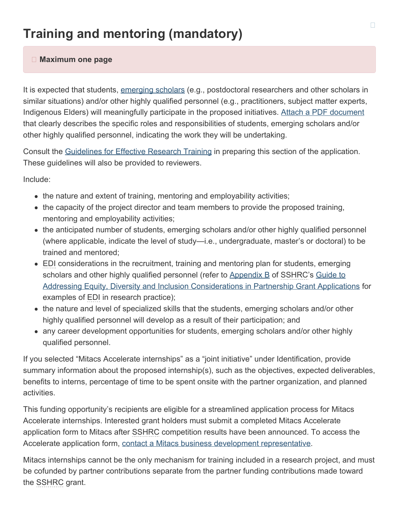# <span id="page-21-0"></span>**Training and mentoring (mandatory)**

#### **Maximum one page**

It is expected that students, [emerging scholars](https://www.sshrc-crsh.gc.ca/funding-financement/programs-programmes/definitions-eng.aspx#a12) (e.g., postdoctoral researchers and other scholars in similar situations) and/or other highly qualified personnel (e.g., practitioners, subject matter experts, Indigenous Elders) will meaningfully participate in the proposed initiatives. [Attach a PDF document](#page-3-0) that clearly describes the specific roles and responsibilities of students, emerging scholars and/or other highly qualified personnel, indicating the work they will be undertaking.

Consult the [Guidelines for Effective Research Training](https://www.sshrc-crsh.gc.ca/funding-financement/policies-politiques/effective_research_training-formation_en_recherche_efficace-eng.aspx) in preparing this section of the application. These guidelines will also be provided to reviewers.

Include:

- the nature and extent of training, mentoring and employability activities;
- the capacity of the project director and team members to provide the proposed training, mentoring and employability activities;
- the anticipated number of students, emerging scholars and/or other highly qualified personnel (where applicable, indicate the level of study—i.e., undergraduate, master's or doctoral) to be trained and mentored;
- EDI considerations in the recruitment, training and mentoring plan for students, emerging scholars and other highly qualified personnel (refer to [Appendix](https://www.sshrc-crsh.gc.ca/funding-financement/apply-demande/guides/partnership_edi_guide-partenariats_guide_edi-eng.aspx#appendix-b) B of SSHRC's [Guide to](https://www.sshrc-crsh.gc.ca/funding-financement/apply-demande/guides/partnership_edi_guide-partenariats_guide_edi-eng.aspx) [Addressing Equity, Diversity and Inclusion Considerations in Partnership Grant Applications](https://www.sshrc-crsh.gc.ca/funding-financement/apply-demande/guides/partnership_edi_guide-partenariats_guide_edi-eng.aspx) for examples of EDI in research practice);
- the nature and level of specialized skills that the students, emerging scholars and/or other highly qualified personnel will develop as a result of their participation; and
- any career development opportunities for students, emerging scholars and/or other highly qualified personnel.

If you selected "Mitacs Accelerate internships" as a "joint initiative" under Identification, provide summary information about the proposed internship(s), such as the objectives, expected deliverables, benefits to interns, percentage of time to be spent onsite with the partner organization, and planned activities.

This funding opportunity's recipients are eligible for a streamlined application process for Mitacs Accelerate internships. Interested grant holders must submit a completed Mitacs Accelerate application form to Mitacs after SSHRC competition results have been announced. To access the Accelerate application form, [contact a Mitacs business development representative](http://www.mitacs.ca/en/contact-us/business-development).

Mitacs internships cannot be the only mechanism for training included in a research project, and must be cofunded by partner contributions separate from the partner funding contributions made toward the SSHRC grant.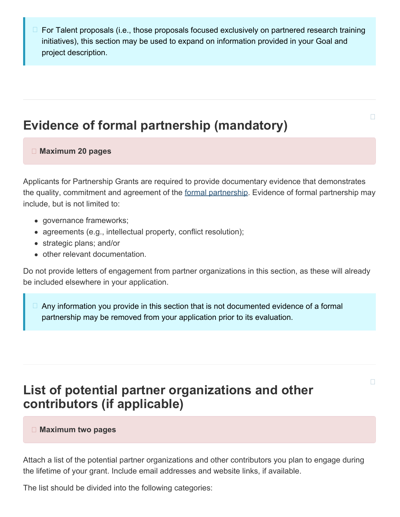For Talent proposals (i.e., those proposals focused exclusively on partnered research training initiatives), this section may be used to expand on information provided in your Goal and project description.

# <span id="page-22-0"></span>**Evidence of formal partnership (mandatory)**

 $\Box$ 

#### **Maximum 20 pages**

Applicants for Partnership Grants are required to provide documentary evidence that demonstrates the quality, commitment and agreement of the [formal partnership](https://www.sshrc-crsh.gc.ca/funding-financement/programs-programmes/definitions-eng.aspx#a10). Evidence of formal partnership may include, but is not limited to:

- governance frameworks;
- agreements (e.g., intellectual property, conflict resolution);
- strategic plans; and/or
- other relevant documentation.

Do not provide letters of engagement from partner organizations in this section, as these will already be included elsewhere in your application.

 $\Box$  Any information you provide in this section that is not documented evidence of a formal partnership may be removed from your application prior to its evaluation.

# <span id="page-22-1"></span>**List of potential partner organizations and other contributors (if applicable)**

 $\Box$ 

#### **Maximum two pages**

Attach a list of the potential partner organizations and other contributors you plan to engage during the lifetime of your grant. Include email addresses and website links, if available.

The list should be divided into the following categories: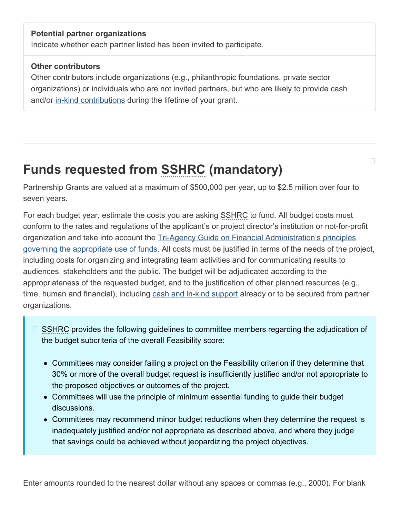#### **Potential partner organizations**

Indicate whether each partner listed has been invited to participate.

#### **Other contributors**

Other contributors include organizations (e.g., philanthropic foundations, private sector organizations) or individuals who are not invited partners, but who are likely to provide cash and/or [in-kind contributions](https://www.sshrc-crsh.gc.ca/funding-financement/programs-programmes/definitions-eng.aspx#a15) during the lifetime of your grant.

# <span id="page-23-0"></span>**Funds requested from SSHRC (mandatory)**

Partnership Grants are valued at a maximum of \$500,000 per year, up to \$2.5 million over four to seven years.

 $\Box$ 

For each budget year, estimate the costs you are asking SSHRC to fund. All budget costs must conform to the rates and regulations of the applicant's or project director's institution or not-for-profit organization and take into account the [Tri-Agency Guide on Financial Administration's principles](https://www.nserc-crsng.gc.ca/InterAgency-Interorganismes/TAFA-AFTO/guide-guide_eng.asp#10) [governing the appropriate use of funds.](https://www.nserc-crsng.gc.ca/InterAgency-Interorganismes/TAFA-AFTO/guide-guide_eng.asp#10) All costs must be justified in terms of the needs of the project, including costs for organizing and integrating team activities and for communicating results to audiences, stakeholders and the public. The budget will be adjudicated according to the appropriateness of the requested budget, and to the justification of other planned resources (e.g., time, human and financial), including [cash and in-kind support](https://www.sshrc-crsh.gc.ca/funding-financement/policies-politiques/cash_inkind-especes_en_nature-eng.aspx) already or to be secured from partner organizations.

- SSHRC provides the following guidelines to committee members regarding the adjudication of the budget subcriteria of the overall Feasibility score:  $\Box$ 
	- Committees may consider failing a project on the Feasibility criterion if they determine that 30% or more of the overall budget request is insufficiently justified and/or not appropriate to the proposed objectives or outcomes of the project.
	- Committees will use the principle of minimum essential funding to guide their budget discussions.
	- Committees may recommend minor budget reductions when they determine the request is inadequately justified and/or not appropriate as described above, and where they judge that savings could be achieved without jeopardizing the project objectives.

Enter amounts rounded to the nearest dollar without any spaces or commas (e.g., 2000). For blank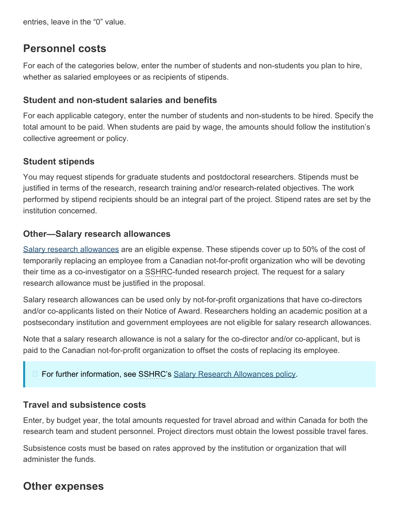entries, leave in the "0" value.

### **Personnel costs**

For each of the categories below, enter the number of students and non-students you plan to hire, whether as salaried employees or as recipients of stipends.

### <span id="page-24-0"></span>**Student and non-student salaries and benefits**

For each applicable category, enter the number of students and non-students to be hired. Specify the total amount to be paid. When students are paid by wage, the amounts should follow the institution's collective agreement or policy.

### **Student stipends**

You may request stipends for graduate students and postdoctoral researchers. Stipends must be justified in terms of the research, research training and/or research-related objectives. The work performed by stipend recipients should be an integral part of the project. Stipend rates are set by the institution concerned.

### **Other—Salary research allowances**

[Salary research allowances](https://www.sshrc-crsh.gc.ca/funding-financement/policies-politiques/g_stipends-s_indemnite-eng.aspx) are an eligible expense. These stipends cover up to 50% of the cost of temporarily replacing an employee from a Canadian not-for-profit organization who will be devoting their time as a co-investigator on a SSHRC-funded research project. The request for a salary research allowance must be justified in the proposal.

Salary research allowances can be used only by not-for-profit organizations that have co-directors and/or co-applicants listed on their Notice of Award. Researchers holding an academic position at a postsecondary institution and government employees are not eligible for salary research allowances.

Note that a salary research allowance is not a salary for the co-director and/or co-applicant, but is paid to the Canadian not-for-profit organization to offset the costs of replacing its employee.

□ For further information, see SSHRC's [Salary Research Allowances policy.](https://www.sshrc-crsh.gc.ca/funding-financement/policies-politiques/g_stipends-s_indemnite-eng.aspx)

### **Travel and subsistence costs**

Enter, by budget year, the total amounts requested for travel abroad and within Canada for both the research team and student personnel. Project directors must obtain the lowest possible travel fares.

Subsistence costs must be based on rates approved by the institution or organization that will administer the funds.

## **Other expenses**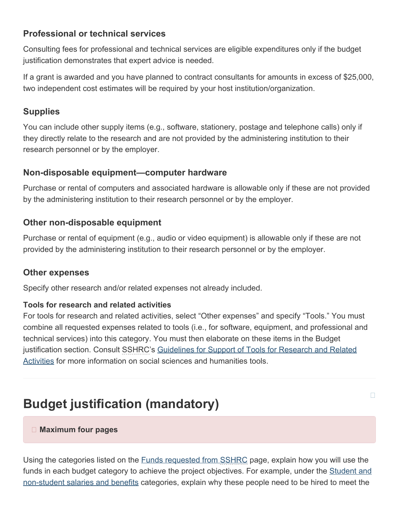### **Professional or technical services**

Consulting fees for professional and technical services are eligible expenditures only if the budget justification demonstrates that expert advice is needed.

If a grant is awarded and you have planned to contract consultants for amounts in excess of \$25,000, two independent cost estimates will be required by your host institution/organization.

### **Supplies**

You can include other supply items (e.g., software, stationery, postage and telephone calls) only if they directly relate to the research and are not provided by the administering institution to their research personnel or by the employer.

### **Non-disposable equipment—computer hardware**

Purchase or rental of computers and associated hardware is allowable only if these are not provided by the administering institution to their research personnel or by the employer.

### **Other non-disposable equipment**

Purchase or rental of equipment (e.g., audio or video equipment) is allowable only if these are not provided by the administering institution to their research personnel or by the employer.

### **Other expenses**

Specify other research and/or related expenses not already included.

#### **Tools for research and related activities**

For tools for research and related activities, select "Other expenses" and specify "Tools." You must combine all requested expenses related to tools (i.e., for software, equipment, and professional and technical services) into this category. You must then elaborate on these items in the Budget justification section. Consult SSHRC's [Guidelines for Support of Tools for Research and Related](https://www.sshrc-crsh.gc.ca/funding-financement/policies-politiques/support_tools_soutien_outils-eng.aspx) [Activities](https://www.sshrc-crsh.gc.ca/funding-financement/policies-politiques/support_tools_soutien_outils-eng.aspx) for more information on social sciences and humanities tools.

 $\Box$ 

# <span id="page-25-0"></span>**Budget justification (mandatory)**

#### **Maximum four pages**

Using the categories listed on the [Funds requested from SSHRC](https://www.sshrc-crsh.gc.ca/funding-financement/policies-politiques/cash_inkind-especes_en_nature-eng.aspx#a6) page, explain how you will use the funds in each budget category to achieve the project objectives. For example, under the [Student and](#page-24-0) [non-student salaries and benefits](#page-24-0) categories, explain why these people need to be hired to meet the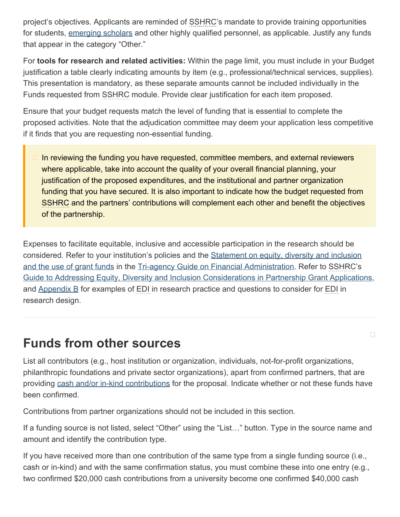project's objectives. Applicants are reminded of SSHRC's mandate to provide training opportunities for students, [emerging scholars](https://www.sshrc-crsh.gc.ca/funding-financement/programs-programmes/definitions-eng.aspx#a12) and other highly qualified personnel, as applicable. Justify any funds that appear in the category "Other."

For **tools for research and related activities:** Within the page limit, you must include in your Budget justification a table clearly indicating amounts by item (e.g., professional/technical services, supplies). This presentation is mandatory, as these separate amounts cannot be included individually in the Funds requested from SSHRC module. Provide clear justification for each item proposed.

Ensure that your budget requests match the level of funding that is essential to complete the proposed activities. Note that the adjudication committee may deem your application less competitive if it finds that you are requesting non-essential funding.

In reviewing the funding you have requested, committee members, and external reviewers where applicable, take into account the quality of your overall financial planning, your justification of the proposed expenditures, and the institutional and partner organization funding that you have secured. It is also important to indicate how the budget requested from SSHRC and the partners' contributions will complement each other and benefit the objectives of the partnership.

Expenses to facilitate equitable, inclusive and accessible participation in the research should be considered. Refer to your institution's policies and the [Statement on equity, diversity and inclusion](https://www.nserc-crsng.gc.ca/InterAgency-Interorganismes/TAFA-AFTO/guide-guide_eng.asp#8) [and the use of grant funds](https://www.nserc-crsng.gc.ca/InterAgency-Interorganismes/TAFA-AFTO/guide-guide_eng.asp#8) in the [Tri-agency Guide on Financial Administration](https://www.nserc-crsng.gc.ca/InterAgency-Interorganismes/TAFA-AFTO/guide-guide_eng.asp). Refer to SSHRC's [Guide to Addressing Equity, Diversity and Inclusion Considerations in Partnership Grant Applications,](https://www.sshrc-crsh.gc.ca/funding-financement/apply-demande/guides/partnership_edi_guide-partenariats_guide_edi-eng.aspx) and  $\Delta$ ppendix  $\overline{B}$  for examples of EDI in research practice and questions to consider for EDI in research design.

# <span id="page-26-0"></span>**Funds from other sources**

List all contributors (e.g., host institution or organization, individuals, not-for-profit organizations, philanthropic foundations and private sector organizations), apart from confirmed partners, that are providing [cash and/or in-kind contributions](https://www.sshrc-crsh.gc.ca/funding-financement/policies-politiques/cash_inkind-especes_en_nature-eng.aspx) for the proposal. Indicate whether or not these funds have been confirmed.

 $\Box$ 

Contributions from partner organizations should not be included in this section.

If a funding source is not listed, select "Other" using the "List…" button. Type in the source name and amount and identify the contribution type.

If you have received more than one contribution of the same type from a single funding source (i.e., cash or in-kind) and with the same confirmation status, you must combine these into one entry (e.g., two confirmed \$20,000 cash contributions from a university become one confirmed \$40,000 cash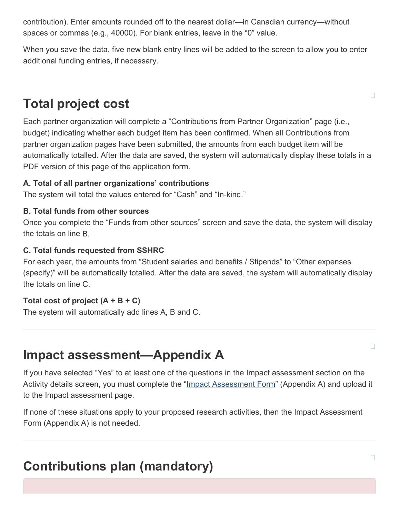contribution). Enter amounts rounded off to the nearest dollar—in Canadian currency—without spaces or commas (e.g., 40000). For blank entries, leave in the "0" value.

When you save the data, five new blank entry lines will be added to the screen to allow you to enter additional funding entries, if necessary.

# <span id="page-27-0"></span>**Total project cost**

Each partner organization will complete a "Contributions from Partner Organization" page (i.e., budget) indicating whether each budget item has been confirmed. When all Contributions from partner organization pages have been submitted, the amounts from each budget item will be automatically totalled. After the data are saved, the system will automatically display these totals in a PDF version of this page of the application form.

### **A. Total of all partner organizations' contributions**

The system will total the values entered for "Cash" and "In-kind."

#### **B. Total funds from other sources**

Once you complete the "Funds from other sources" screen and save the data, the system will display the totals on line B.

### **C. Total funds requested from SSHRC**

For each year, the amounts from "Student salaries and benefits / Stipends" to "Other expenses (specify)" will be automatically totalled. After the data are saved, the system will automatically display the totals on line C.

#### **Total cost of project (A + B + C)**

The system will automatically add lines A, B and C.

# <span id="page-27-1"></span>**Impact assessment—Appendix A**

If you have selected "Yes" to at least one of the questions in the Impact assessment section on the Activity details screen, you must complete the ["Impact Assessment Form](https://www.sshrc-crsh.gc.ca/funding-financement/forms-formulaires/pdf/EI_Appendix_A-IA_Annexe_A-eng.pdf)" (Appendix A) and upload it to the Impact assessment page.

If none of these situations apply to your proposed research activities, then the Impact Assessment Form (Appendix A) is not needed.

# <span id="page-27-2"></span>**Contributions plan (mandatory)**

П

 $\Box$ 

 $\Box$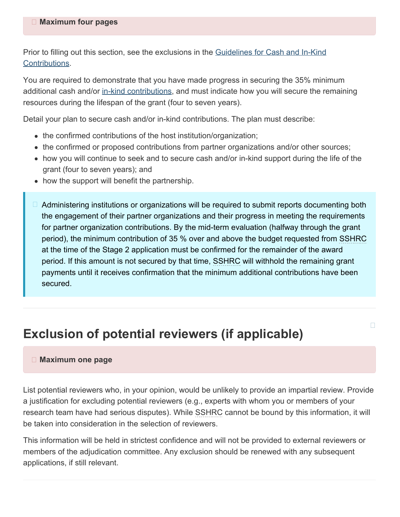Prior to filling out this section, see the exclusions in the [Guidelines for Cash and In-Kind](https://www.sshrc-crsh.gc.ca/funding-financement/policies-politiques/cash_inkind-especes_en_nature-eng.aspx) [Contributions.](https://www.sshrc-crsh.gc.ca/funding-financement/policies-politiques/cash_inkind-especes_en_nature-eng.aspx)

You are required to demonstrate that you have made progress in securing the 35% minimum additional cash and/or [in-kind contributions,](https://www.sshrc-crsh.gc.ca/funding-financement/programs-programmes/definitions-eng.aspx#a15) and must indicate how you will secure the remaining resources during the lifespan of the grant (four to seven years).

Detail your plan to secure cash and/or in-kind contributions. The plan must describe:

- the confirmed contributions of the host institution/organization;
- the confirmed or proposed contributions from partner organizations and/or other sources;
- how you will continue to seek and to secure cash and/or in-kind support during the life of the grant (four to seven years); and
- how the support will benefit the partnership.
- □ Administering institutions or organizations will be required to submit reports documenting both the engagement of their partner organizations and their progress in meeting the requirements for partner organization contributions. By the mid-term evaluation (halfway through the grant period), the minimum contribution of 35 % over and above the budget requested from SSHRC at the time of the Stage 2 application must be confirmed for the remainder of the award period. If this amount is not secured by that time, SSHRC will withhold the remaining grant payments until it receives confirmation that the minimum additional contributions have been secured.

П

## <span id="page-28-0"></span>**Exclusion of potential reviewers (if applicable)**

#### **Maximum one page**

List potential reviewers who, in your opinion, would be unlikely to provide an impartial review. Provide a justification for excluding potential reviewers (e.g., experts with whom you or members of your research team have had serious disputes). While SSHRC cannot be bound by this information, it will be taken into consideration in the selection of reviewers.

This information will be held in strictest confidence and will not be provided to external reviewers or members of the adjudication committee. Any exclusion should be renewed with any subsequent applications, if still relevant.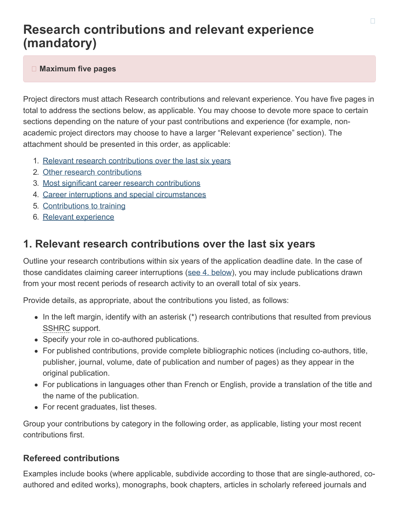# <span id="page-29-0"></span>**Research contributions and relevant experience (mandatory)**

#### **Maximum five pages**

Project directors must attach Research contributions and relevant experience. You have five pages in total to address the sections below, as applicable. You may choose to devote more space to certain sections depending on the nature of your past contributions and experience (for example, nonacademic project directors may choose to have a larger "Relevant experience" section). The attachment should be presented in this order, as applicable:

- 1. [Relevant research contributions over the last six](#page-29-1) years
- 2. [Other research contributions](#page-30-0)
- 3. [Most significant career research contributions](#page-30-1)
- 4. [Career interruptions and special circumstances](#page-31-0)
- 5. [Contributions to training](#page-31-1)
- 6. [Relevant experience](#page-31-2)

### <span id="page-29-1"></span>**1. Relevant research contributions over the last six years**

Outline your research contributions within six years of the application deadline date. In the case of those candidates claiming career interruptions ([see 4. below](#page-31-0)), you may include publications drawn from your most recent periods of research activity to an overall total of six years.

Provide details, as appropriate, about the contributions you listed, as follows:

- $\bullet$  In the left margin, identify with an asterisk (\*) research contributions that resulted from previous SSHRC support.
- Specify your role in co-authored publications.
- For published contributions, provide complete bibliographic notices (including co-authors, title, publisher, journal, volume, date of publication and number of pages) as they appear in the original publication.
- For publications in languages other than French or English, provide a translation of the title and the name of the publication.
- For recent graduates, list theses.

Group your contributions by category in the following order, as applicable, listing your most recent contributions first.

### **Refereed contributions**

Examples include books (where applicable, subdivide according to those that are single-authored, coauthored and edited works), monographs, book chapters, articles in scholarly refereed journals and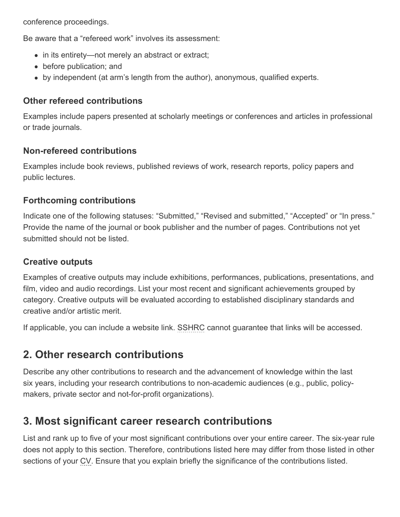conference proceedings.

Be aware that a "refereed work" involves its assessment:

- in its entirety—not merely an abstract or extract;
- before publication; and
- by independent (at arm's length from the author), anonymous, qualified experts.

### **Other refereed contributions**

Examples include papers presented at scholarly meetings or conferences and articles in professional or trade journals.

### **Non-refereed contributions**

Examples include book reviews, published reviews of work, research reports, policy papers and public lectures.

### **Forthcoming contributions**

Indicate one of the following statuses: "Submitted," "Revised and submitted," "Accepted" or "In press." Provide the name of the journal or book publisher and the number of pages. Contributions not yet submitted should not be listed.

### **Creative outputs**

Examples of creative outputs may include exhibitions, performances, publications, presentations, and film, video and audio recordings. List your most recent and significant achievements grouped by category. Creative outputs will be evaluated according to established disciplinary standards and creative and/or artistic merit.

If applicable, you can include a website link. SSHRC cannot guarantee that links will be accessed.

## <span id="page-30-0"></span>**2. Other research contributions**

Describe any other contributions to research and the advancement of knowledge within the last six years, including your research contributions to non-academic audiences (e.g., public, policymakers, private sector and not-for-profit organizations).

## <span id="page-30-1"></span>**3. Most significant career research contributions**

List and rank up to five of your most significant contributions over your entire career. The six-year rule does not apply to this section. Therefore, contributions listed here may differ from those listed in other sections of your CV. Ensure that you explain briefly the significance of the contributions listed.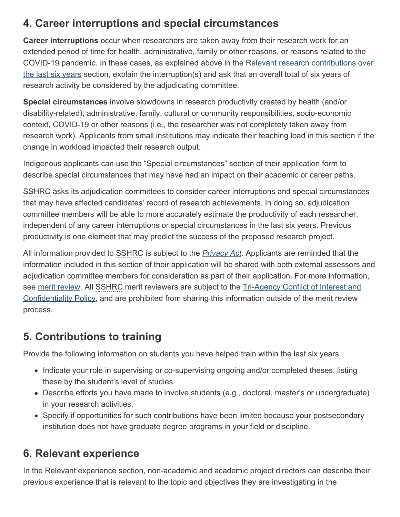## <span id="page-31-0"></span>**4. Career interruptions and special circumstances**

**Career interruptions** occur when researchers are taken away from their research work for an extended period of time for health, administrative, family or other reasons, or reasons related to the COVID-19 pandemic. In these cases, as explained above in the [Relevant research contributions over](#page-29-1) [the last six](#page-29-1) years section, explain the interruption(s) and ask that an overall total of six years of research activity be considered by the adjudicating committee.

**Special circumstances** involve slowdowns in research productivity created by health (and/or disability-related), administrative, family, cultural or community responsibilities, socio-economic context, COVID-19 or other reasons (i.e., the researcher was not completely taken away from research work). Applicants from small institutions may indicate their teaching load in this section if the change in workload impacted their research output.

Indigenous applicants can use the "Special circumstances" section of their application form to describe special circumstances that may have had an impact on their academic or career paths.

SSHRC asks its adjudication committees to consider career interruptions and special circumstances that may have affected candidates' record of research achievements. In doing so, adjudication committee members will be able to more accurately estimate the productivity of each researcher, independent of any career interruptions or special circumstances in the last six years. Previous productivity is one element that may predict the success of the proposed research project.

All information provided to SSHRC is subject to the *[Privacy Act](http://laws-lois.justice.gc.ca/eng/acts/P-21/index.html)*. Applicants are reminded that the information included in this section of their application will be shared with both external assessors and adjudication committee members for consideration as part of their application. For more information, see [merit review.](https://www.sshrc-crsh.gc.ca/funding-financement/merit_review-evaluation_du_merite/index-eng.aspx) All SSHRC merit reviewers are subject to the [Tri-Agency Conflict of Interest and](http://www.science.gc.ca/eic/site/063.nsf/eng/h_90108244.html) [Confidentiality Policy](http://www.science.gc.ca/eic/site/063.nsf/eng/h_90108244.html), and are prohibited from sharing this information outside of the merit review process.

## <span id="page-31-1"></span>**5. Contributions to training**

Provide the following information on students you have helped train within the last six years.

- Indicate your role in supervising or co-supervising ongoing and/or completed theses, listing these by the student's level of studies.
- Describe efforts you have made to involve students (e.g., doctoral, master's or undergraduate) in your research activities.
- Specify if opportunities for such contributions have been limited because your postsecondary institution does not have graduate degree programs in your field or discipline.

## <span id="page-31-2"></span>**6. Relevant experience**

In the Relevant experience section, non-academic and academic project directors can describe their previous experience that is relevant to the topic and objectives they are investigating in the